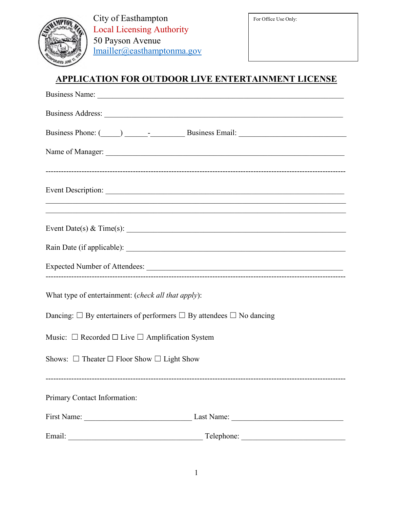

# **APPLICATION FOR OUTDOOR LIVE ENTERTAINMENT LICENSE**

| Business Name:                                                                               |
|----------------------------------------------------------------------------------------------|
|                                                                                              |
| Business Phone: (Called a Business Email: Email: Allen Business Email: Allen Business Email: |
|                                                                                              |
|                                                                                              |
| Event Date(s) & Time(s): $\overline{\phantom{a}}$                                            |
|                                                                                              |
|                                                                                              |
| What type of entertainment: (check all that apply):                                          |
| Dancing: $\Box$ By entertainers of performers $\Box$ By attendees $\Box$ No dancing          |
| Music: $\Box$ Recorded $\Box$ Live $\Box$ Amplification System                               |
| Shows: $\Box$ Theater $\Box$ Floor Show $\Box$ Light Show                                    |
| Primary Contact Information:                                                                 |
| First Name: Last Name: Last Name:                                                            |
| Email:<br><u> 1989 - Johann John Stein, mars an deus Amerikaansk kommunister (</u>           |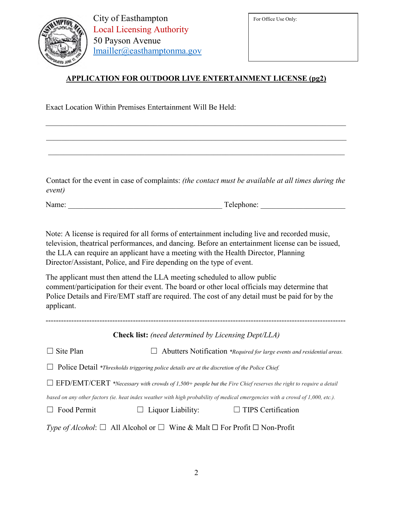

For Office Use Only:

#### **APPLICATION FOR OUTDOOR LIVE ENTERTAINMENT LICENSE (pg2)**

Exact Location Within Premises Entertainment Will Be Held:

Contact for the event in case of complaints: *(the contact must be available at all times during the event)* 

Name: \_\_\_\_\_\_\_\_\_\_\_\_\_\_\_\_\_\_\_\_\_\_\_\_\_\_\_\_\_\_\_\_\_\_\_\_\_\_\_\_ Telephone: \_\_\_\_\_\_\_\_\_\_\_\_\_\_\_\_\_\_\_\_\_\_

Note: A license is required for all forms of entertainment including live and recorded music, television, theatrical performances, and dancing. Before an entertainment license can be issued, the LLA can require an applicant have a meeting with the Health Director, Planning Director/Assistant, Police, and Fire depending on the type of event.

The applicant must then attend the LLA meeting scheduled to allow public comment/participation for their event. The board or other local officials may determine that Police Details and Fire/EMT staff are required. The cost of any detail must be paid for by the applicant.

---------------------------------------------------------------------------------------------------------------------

**Check list:** *(need determined by Licensing Dept/LLA)* ☐ Site Plan ☐ Abutters Notification *\*Required for large events and residential areas.*  ☐ Police Detail *\*Thresholds triggering police details are at the discretion of the Police Chief.* ☐ EFD/EMT/CERT *\*Necessary with crowds of 1,500+ people but the Fire Chief reserves the right to require a detail based on any other factors (ie. heat index weather with high probability of medical emergencies with a crowd of 1,000, etc.).* ☐ Food Permit ☐ Liquor Liability: ☐ TIPS Certification *Type of Alcohol*: □ All Alcohol or □ Wine & Malt □ For Profit □ Non-Profit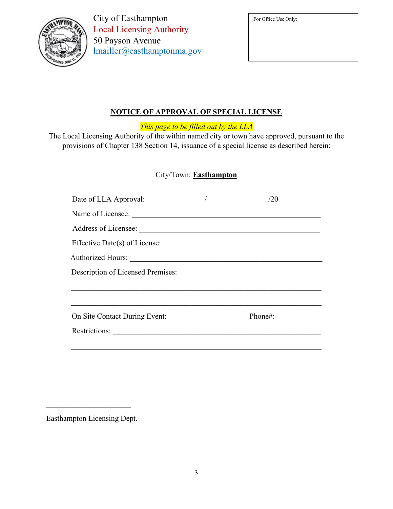|  | PTO                  |  |
|--|----------------------|--|
|  |                      |  |
|  |                      |  |
|  | <b><i>SHUL Q</i></b> |  |

# **NOTICE OF APPROVAL OF SPECIAL LICENSE**

*This page to be filled out by the LLA*

The Local Licensing Authority of the within named city or town have approved, pursuant to the provisions of Chapter 138 Section 14, issuance of a special license as described herein:

#### City/Town: **Easthampton**

|                                       | /20 |  |
|---------------------------------------|-----|--|
| Name of Licensee:                     |     |  |
|                                       |     |  |
|                                       |     |  |
|                                       |     |  |
|                                       |     |  |
|                                       |     |  |
|                                       |     |  |
| On Site Contact During Event: Phone#: |     |  |
| Restrictions:                         |     |  |
|                                       |     |  |

Easthampton Licensing Dept.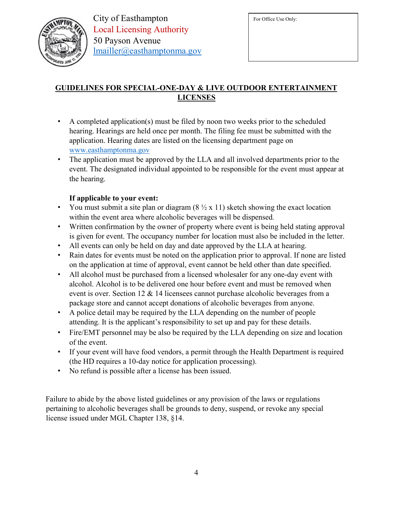

# **GUIDELINES FOR SPECIAL-ONE-DAY & LIVE OUTDOOR ENTERTAINMENT LICENSES**

- A completed application(s) must be filed by noon two weeks prior to the scheduled hearing. Hearings are held once per month. The filing fee must be submitted with the application. Hearing dates are listed on the licensing department page on [www.easthamptonma.gov](http://www.easthamptonma.gov/)
- The application must be approved by the LLA and all involved departments prior to the event. The designated individual appointed to be responsible for the event must appear at the hearing.

### **If applicable to your event:**

- You must submit a site plan or diagram  $(8 \frac{1}{2} \times 11)$  sketch showing the exact location within the event area where alcoholic beverages will be dispensed*.*
- Written confirmation by the owner of property where event is being held stating approval is given for event. The occupancy number for location must also be included in the letter.
- All events can only be held on day and date approved by the LLA at hearing.
- Rain dates for events must be noted on the application prior to approval. If none are listed on the application at time of approval, event cannot be held other than date specified.
- All alcohol must be purchased from a licensed wholesaler for any one-day event with alcohol. Alcohol is to be delivered one hour before event and must be removed when event is over. Section 12 & 14 licensees cannot purchase alcoholic beverages from a package store and cannot accept donations of alcoholic beverages from anyone.
- A police detail may be required by the LLA depending on the number of people attending. It is the applicant's responsibility to set up and pay for these details.
- Fire/EMT personnel may be also be required by the LLA depending on size and location of the event.
- If your event will have food vendors, a permit through the Health Department is required (the HD requires a 10-day notice for application processing).
- No refund is possible after a license has been issued.

Failure to abide by the above listed guidelines or any provision of the laws or regulations pertaining to alcoholic beverages shall be grounds to deny, suspend, or revoke any special license issued under MGL Chapter 138, §14.